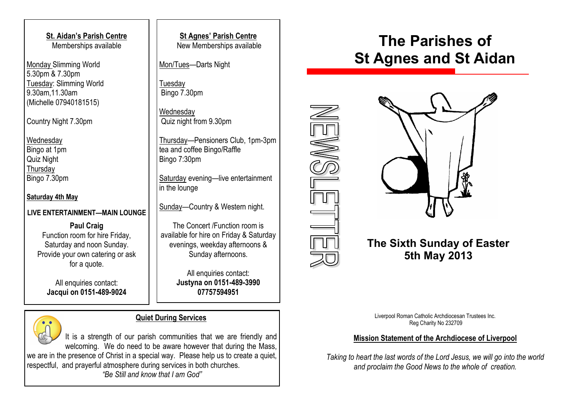**St. Aidan's Parish Centre** Memberships available

Monday Slimming World 5.30pm & 7.30pm Tuesday: Slimming World 9.30am,11.30am (Michelle 07940181515)

Country Night 7.30pm

**Wednesday** Bingo at 1pm Quiz Night **Thursday** Bingo 7.30pm

**Saturday 4th May**

#### **LIVE ENTERTAINMENT—MAIN LOUNGE**

**Paul Craig** Function room for hire Friday, Saturday and noon Sunday. Provide your own catering or ask for a quote.

All enquiries contact: **Jacqui on 0151-489-9024**

**St Agnes' Parish Centre** New Memberships available

Mon/Tues—Darts Night

**Tuesday** Bingo 7.30pm

**Wednesdav** Quiz night from 9.30pm

Thursday—Pensioners Club, 1pm-3pm tea and coffee Bingo/Raffle Bingo 7:30pm

Saturday evening—live entertainment in the lounge

Sunday—Country & Western night.

The Concert /Function room is available for hire on Friday & Saturday evenings, weekday afternoons & Sunday afternoons.

> All enquiries contact: **Justyna on 0151-489-3990 07757594951**

#### **Quiet During Services**

It is a strength of our parish communities that we are friendly and welcoming. We do need to be aware however that during the Mass, we are in the presence of Christ in a special way. Please help us to create a quiet, respectful, and prayerful atmosphere during services in both churches. *"Be Still and know that I am God"*

## **The Parishes of St Agnes and St Aidan**



## **The Sixth Sunday of Easter 5th May 2013**

Liverpool Roman Catholic Archdiocesan Trustees Inc. Reg Charity No 232709

#### **Mission Statement of the Archdiocese of Liverpool**

*Taking to heart the last words of the Lord Jesus, we will go into the world and proclaim the Good News to the whole of creation.*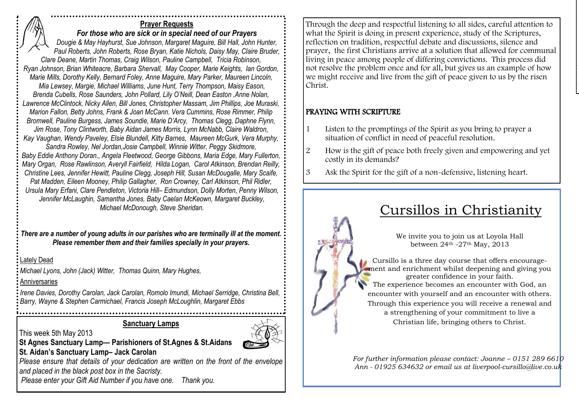#### **Prayer Requests** *For those who are sick or in special need of our Prayers Dougie & May Hayhurst, Sue Johnson, Margaret Maguire, Bill Hall, John Hunter, Paul Roberts, John Roberts, Rose Bryan, Katie Nichols, Daisy May, Claire Bruder, Clare Deane, Martin Thomas, Craig Wilson, Pauline Campbell, Tricia Robinson, Ryan Johnson, Brian Whiteacre, Barbara Shervall, May Cooper, Marie Keights, Ian Gordon, Marie Mills, Dorothy Kelly, Bernard Foley, Anne Maguire, Mary Parker, Maureen Lincoln, Mia Lewsey, Margie, Michael Williams, June Hunt, Terry Thompson, Maisy Eason, Brenda Cubells, Rose Saunders, John Pollard, Lily O'Neill, Dean Easton ,Anne Nolan, Lawrence McClintock, Nicky Allen, Bill Jones, Christopher Massam, Jim Phillips, Joe Muraski, Marion Fallon, Betty Johns, Frank & Joan McCann. Vera Cummins, Rose Rimmer, Philip Bromwell, Pauline Burgess, James Soundie, Marie D'Arcy, Thomas Clegg, Daphne Flynn, Jim Rose, Tony Clintworth, Baby Aidan James Morris, Lynn McNabb, Claire Waldron, Kay Vaughan, Wendy Paveley, Elsie Blundell, Kitty Barnes, Maureen McGurk, Vera Murphy, Sandra Rowley, Nel Jordan,Josie Campbell, Winnie Witter, Peggy Skidmore, Baby Eddie Anthony Doran., Angela Fleetwood, George Gibbons, Maria Edge, Mary Fullerton, Mary Organ, Rose Rawlinson, Averyll Fairfield, Hilda Logan, Carol Atkinson, Brendan Reilly, Christine Lees, Jennifer Hewitt, Pauline Clegg, Joseph Hill, Susan McDougalle, Mary Scaife, Pat Madden, Eileen Mooney, Philip Gallagher, Ron Crowney, Carl Atkinson, Phil Ridler, Ursula Mary Erfani, Clare Pendleton, Victoria Hill– Edmundson, Dolly Morten, Penny Wilson, Jennifer McLaughin, Samantha Jones, Baby Caelan McKeown, Margaret Buckley, Michael McDonough, Steve Sheridan.*

*There are a number of young adults in our parishes who are terminally ill at the moment. Please remember them and their families specially in your prayers.*

#### Lately Dead

*Michael Lyons, John (Jack) Witter, Thomas Quinn, Mary Hughes,* 

**Anniversaries** 

*Irene Davies, Dorothy Carolan, Jack Carolan, Romolo Imundi, Michael Serridge, Christina Bell, Barry, Wayne & Stephen Carmichael, Francis Joseph McLoughlin, Margaret Ebbs*

#### **Sanctuary Lamps**



**St Agnes Sanctuary Lamp— Parishioners of St.Agnes & St.Aidans St. Aidan's Sanctuary Lamp– Jack Carolan**

This week 5th May 2013

*Please ensure that details of your dedication are written on the front of the envelope and placed in the black post box in the Sacristy.* 

*Please enter your Gift Aid Number if you have one. Thank you.*

Through the deep and respectful listening to all sides, careful attention to what the Spirit is doing in present experience, study of the Scriptures, reflection on tradition, respectful debate and discussions, silence and prayer, the first Christians arrive at a solution that allowed for communal living in peace among people of differing convictions. This process did not resolve the problem once and for all, but gives us an example of how we might receive and live from the gift of peace given to us by the risen Christ.

sale will become a table top sale in the Sr. Elizabeth Kelly meeting room at St. Agnes' (entrance on St Mary's

the office to book a place. Please feel free to come and look around

for a bargain!

## PRAYING WITH SCRIPTURE

- 1 Listen to the promptings of the Spirit as you bring to prayer a situation of conflict in need of peaceful resolution.
- 2 How is the gift of peace both freely given and empowering and yet costly in its demands?
- 3 Ask the Spirit for the gift of a non-defensive, listening heart.



*For further information please contact: Joanne – 0151 289 6610 Ann - 01925 634632 or email us at liverpool-cursillo@live.co.uk*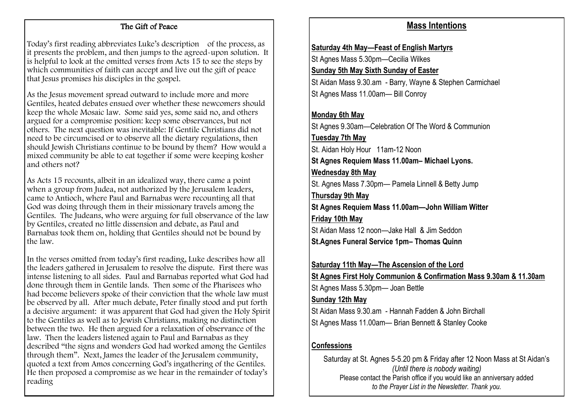#### The Gift of Peace

Today's first reading abbreviates Luke's description of the process, as it presents the problem, and then jumps to the agreed-upon solution. It is helpful to look at the omitted verses from Acts 15 to see the steps by which communities of faith can accept and live out the gift of peace that Jesus promises his disciples in the gospel.

As the Jesus movement spread outward to include more and more Gentiles, heated debates ensued over whether these newcomers should keep the whole Mosaic law. Some said yes, some said no, and others argued for a compromise position: keep some observances, but not others. The next question was inevitable: If Gentile Christians did not need to be circumcised or to observe all the dietary regulations, then should Jewish Christians continue to be bound by them? How would a mixed community be able to eat together if some were keeping kosher and others not?

As Acts 15 recounts, albeit in an idealized way, there came a point when a group from Judea, not authorized by the Jerusalem leaders, came to Antioch, where Paul and Barnabas were recounting all that God was doing through them in their missionary travels among the Gentiles. The Judeans, who were arguing for full observance of the law by Gentiles, created no little dissension and debate, as Paul and Barnabas took them on, holding that Gentiles should not be bound by the law.

In the verses omitted from today's first reading, Luke describes how all the leaders gathered in Jerusalem to resolve the dispute. First there was intense listening to all sides. Paul and Barnabas reported what God had done through them in Gentile lands. Then some of the Pharisees who had become believers spoke of their conviction that the whole law must be observed by all. After much debate, Peter finally stood and put forth a decisive argument: it was apparent that God had given the Holy Spirit to the Gentiles as well as to Jewish Christians, making no distinction between the two. He then argued for a relaxation of observance of the law. Then the leaders listened again to Paul and Barnabas as they described "the signs and wonders God had worked among the Gentiles through them". Next, James the leader of the Jerusalem community, quoted a text from Amos concerning God's ingathering of the Gentiles. He then proposed a compromise as we hear in the remainder of today's reading

## **Mass Intentions**

#### **Saturday 4th May—Feast of English Martyrs**

St Agnes Mass 5.30pm—Cecilia Wilkes

**Sunday 5th May Sixth Sunday of Easter**

St Aidan Mass 9.30.am - Barry, Wayne & Stephen Carmichael St Agnes Mass 11.00am— Bill Conroy

#### **Monday 6th May**

St Agnes 9.30am—Celebration Of The Word & Communion **Tuesday 7th May**

St. Aidan Holy Hour 11am-12 Noon

**St Agnes Requiem Mass 11.00am– Michael Lyons.** 

#### **Wednesday 8th May**

St. Agnes Mass 7.30pm— Pamela Linnell & Betty Jump **Thursday 9th May**

**St Agnes Requiem Mass 11.00am—John William Witter Friday 10th May**

St Aidan Mass 12 noon—Jake Hall & Jim Seddon **St.Agnes Funeral Service 1pm– Thomas Quinn**

**Saturday 11th May—The Ascension of the Lord**

**St Agnes First Holy Communion & Confirmation Mass 9.30am & 11.30am**

St Agnes Mass 5.30pm— Joan Bettle

#### **Sunday 12th May**

St Aidan Mass 9.30.am - Hannah Fadden & John Birchall

St Agnes Mass 11.00am— Brian Bennett & Stanley Cooke

## **Confessions**

Saturday at St. Agnes 5-5.20 pm & Friday after 12 Noon Mass at St Aidan's *(Until there is nobody waiting)* Please contact the Parish office if you would like an anniversary added *to the Prayer List in the Newsletter. Thank you.*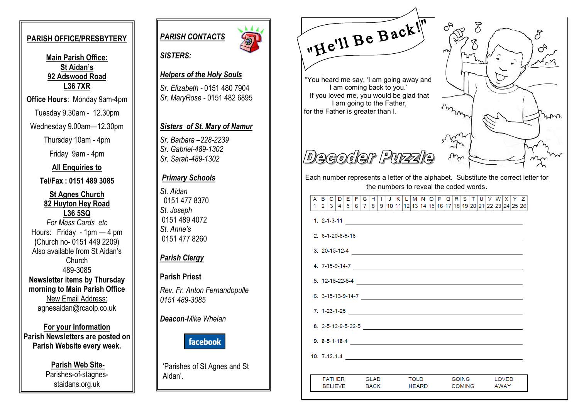#### **PARISH OFFICE/PRESBYTERY**

**Main Parish Office: St Aidan's 92 Adswood Road L36 7XR**

**Office Hours**: Monday 9am-4pm

Tuesday 9.30am - 12.30pm

Wednesday 9.00am—12.30pm

Thursday 10am - 4pm

Friday 9am - 4pm

**All Enquiries to**

**Tel/Fax : 0151 489 3085**

**St Agnes Church 82 Huyton Hey Road L36 5SQ** *For Mass Cards etc* Hours: Friday - 1pm — 4 pm **(**Church no- 0151 449 2209) Also available from St Aidan's Church 489-3085 **Newsletter items by Thursday morning to Main Parish Office** New Email Address: agnesaidan@rcaolp.co.uk

**For your information Parish Newsletters are posted on Parish Website every week.**

> **Parish Web Site-**Parishes-of-stagnesstaidans.org.uk



#### *SISTERS:*

#### *Helpers of the Holy Souls*

*Sr. Elizabeth -* 0151 480 7904 *Sr. MaryRose -* 0151 482 6895

#### *Sisters of St. Mary of Namur*

*Sr. Barbara –228-2239 Sr. Gabriel-489-1302 Sr. Sarah-489-1302*

#### *Primary Schools*

*St. Aidan* 0151 477 8370 *St. Joseph*  0151 489 4072 *St. Anne's*  0151 477 8260

#### *Parish Clergy*

#### **Parish Priest**

*Rev. Fr. Anton Fernandopulle 0151 489-3085*

*Deacon-Mike Whelan*



'Parishes of St Agnes and St Aidan'.

"He'll Be Back!"

"You heard me say, 'I am going away and I am coming back to you.' If you loved me, you would be glad that I am going to the Father, for the Father is greater than I.

# Decoder Purzzle

Each number represents a letter of the alphabet. Substitute the correct letter for the numbers to reveal the coded words.

#### $A|B|C|D|E|F|G|H|I|J|K|L|M|N|O|P|Q|R|S|T|U|V|W|X|Y|Z$  $1|2|3|4|5|6|7|8|9|10|11|12|13|14|15|16|17|18|19|20|21|22|23|24|25|26$ 1. 2-1-3-11  $\overline{\phantom{a}}$ 8. 2-5-12-9-5-22-5  $\qquad \qquad$ **FATHER GLAD TOLD** GOING **LOVED RELIEVE BACK HEARD COMING AWAY**

mmmm  $n_{\text{max}}$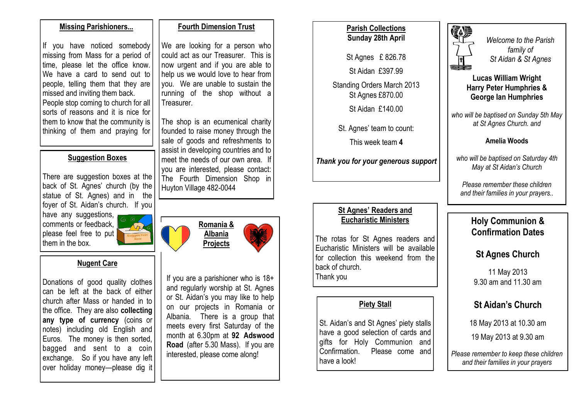#### **Missing Parishioners...**

If you have noticed somebody missing from Mass for a period of time, please let the office know. We have a card to send out to people, telling them that they are missed and inviting them back. People stop coming to church for all sorts of reasons and it is nice for them to know that the community is thinking of them and praying for

#### **Suggestion Boxes**

There are suggestion boxes at the back of St. Agnes' church (by the statue of St. Agnes) and in the foyer of St. Aidan's church. If you

have any suggestions, comments or feedback, please feel free to put them in the box.

#### **Nugent Care**

Donations of good quality clothes can be left at the back of either church after Mass or handed in to the office. They are also **collecting any type of currency** (coins or notes) including old English and Euros. The money is then sorted, bagged and sent to a coin exchange. So if you have any left over holiday money—please dig it

#### **Fourth Dimension Trust**

We are looking for a person who could act as our Treasurer. This is now urgent and if you are able to help us we would love to hear from you. We are unable to sustain the running of the shop without a Treasurer.

The shop is an ecumenical charity founded to raise money through the sale of goods and refreshments to assist in developing countries and to meet the needs of our own area. If you are interested, please contact: The Fourth Dimension Shop in Huyton Village 482-0044

> **Romania & Albania Projects**

If you are a parishioner who is 18+ and regularly worship at St. Agnes or St. Aidan's you may like to help on our projects in Romania or Albania. There is a group that meets every first Saturday of the month at 6.30pm at **92 Adswood Road** (after 5.30 Mass). If you are interested, please come along!